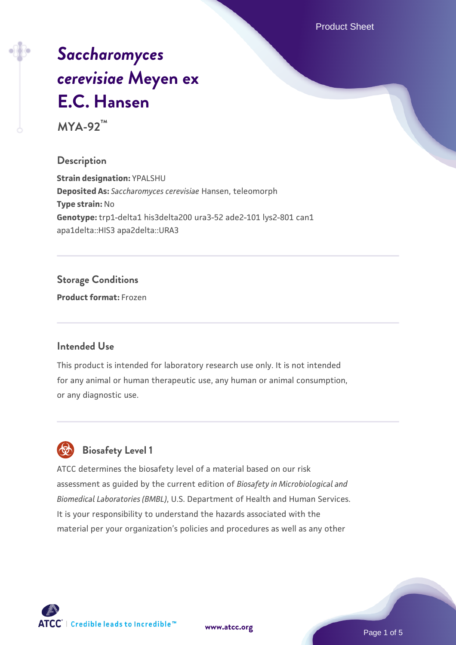Product Sheet

# *[Saccharomyces](https://www.atcc.org/products/mya-92) [cerevisiae](https://www.atcc.org/products/mya-92)* **[Meyen ex](https://www.atcc.org/products/mya-92) [E.C. Hansen](https://www.atcc.org/products/mya-92)**

**MYA-92™**

### **Description**

**Strain designation:** YPALSHU **Deposited As:** *Saccharomyces cerevisiae* Hansen, teleomorph **Type strain:** No **Genotype:** trp1-delta1 his3delta200 ura3-52 ade2-101 lys2-801 can1 apa1delta::HIS3 apa2delta::URA3

### **Storage Conditions**

**Product format:** Frozen

### **Intended Use**

This product is intended for laboratory research use only. It is not intended for any animal or human therapeutic use, any human or animal consumption, or any diagnostic use.



## **Biosafety Level 1**

ATCC determines the biosafety level of a material based on our risk assessment as guided by the current edition of *Biosafety in Microbiological and Biomedical Laboratories (BMBL)*, U.S. Department of Health and Human Services. It is your responsibility to understand the hazards associated with the material per your organization's policies and procedures as well as any other

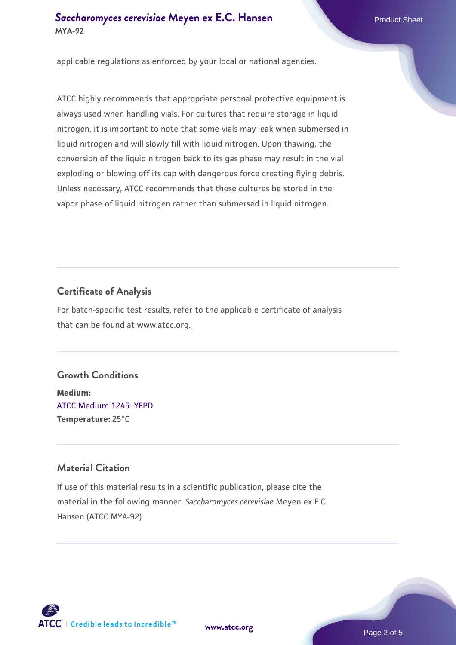### **[Saccharomyces cerevisiae](https://www.atcc.org/products/mya-92)** [Meyen ex E.C. Hansen](https://www.atcc.org/products/mya-92) **MYA-92**

applicable regulations as enforced by your local or national agencies.

ATCC highly recommends that appropriate personal protective equipment is always used when handling vials. For cultures that require storage in liquid nitrogen, it is important to note that some vials may leak when submersed in liquid nitrogen and will slowly fill with liquid nitrogen. Upon thawing, the conversion of the liquid nitrogen back to its gas phase may result in the vial exploding or blowing off its cap with dangerous force creating flying debris. Unless necessary, ATCC recommends that these cultures be stored in the vapor phase of liquid nitrogen rather than submersed in liquid nitrogen.

### **Certificate of Analysis**

For batch-specific test results, refer to the applicable certificate of analysis that can be found at www.atcc.org.

### **Growth Conditions**

**Medium:**  [ATCC Medium 1245: YEPD](https://www.atcc.org/-/media/product-assets/documents/microbial-media-formulations/1/2/4/5/atcc-medium-1245.pdf?rev=705ca55d1b6f490a808a965d5c072196) **Temperature:** 25°C

### **Material Citation**

If use of this material results in a scientific publication, please cite the material in the following manner: *Saccharomyces cerevisiae* Meyen ex E.C. Hansen (ATCC MYA-92)



**[www.atcc.org](http://www.atcc.org)**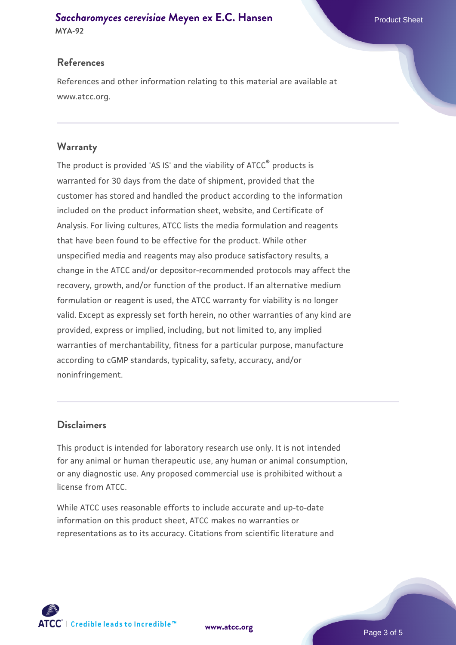# **[Saccharomyces cerevisiae](https://www.atcc.org/products/mya-92)** [Meyen ex E.C. Hansen](https://www.atcc.org/products/mya-92)

**MYA-92**

### **References**

References and other information relating to this material are available at www.atcc.org.

### **Warranty**

The product is provided 'AS IS' and the viability of ATCC® products is warranted for 30 days from the date of shipment, provided that the customer has stored and handled the product according to the information included on the product information sheet, website, and Certificate of Analysis. For living cultures, ATCC lists the media formulation and reagents that have been found to be effective for the product. While other unspecified media and reagents may also produce satisfactory results, a change in the ATCC and/or depositor-recommended protocols may affect the recovery, growth, and/or function of the product. If an alternative medium formulation or reagent is used, the ATCC warranty for viability is no longer valid. Except as expressly set forth herein, no other warranties of any kind are provided, express or implied, including, but not limited to, any implied warranties of merchantability, fitness for a particular purpose, manufacture according to cGMP standards, typicality, safety, accuracy, and/or noninfringement.

### **Disclaimers**

This product is intended for laboratory research use only. It is not intended for any animal or human therapeutic use, any human or animal consumption, or any diagnostic use. Any proposed commercial use is prohibited without a license from ATCC.

While ATCC uses reasonable efforts to include accurate and up-to-date information on this product sheet, ATCC makes no warranties or representations as to its accuracy. Citations from scientific literature and

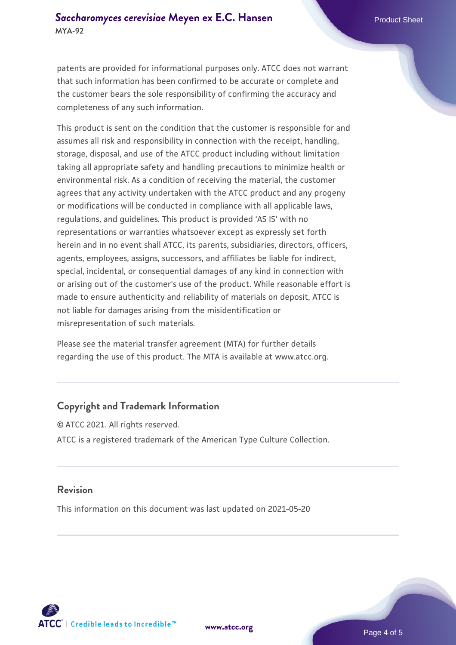patents are provided for informational purposes only. ATCC does not warrant that such information has been confirmed to be accurate or complete and the customer bears the sole responsibility of confirming the accuracy and completeness of any such information.

This product is sent on the condition that the customer is responsible for and assumes all risk and responsibility in connection with the receipt, handling, storage, disposal, and use of the ATCC product including without limitation taking all appropriate safety and handling precautions to minimize health or environmental risk. As a condition of receiving the material, the customer agrees that any activity undertaken with the ATCC product and any progeny or modifications will be conducted in compliance with all applicable laws, regulations, and guidelines. This product is provided 'AS IS' with no representations or warranties whatsoever except as expressly set forth herein and in no event shall ATCC, its parents, subsidiaries, directors, officers, agents, employees, assigns, successors, and affiliates be liable for indirect, special, incidental, or consequential damages of any kind in connection with or arising out of the customer's use of the product. While reasonable effort is made to ensure authenticity and reliability of materials on deposit, ATCC is not liable for damages arising from the misidentification or misrepresentation of such materials.

Please see the material transfer agreement (MTA) for further details regarding the use of this product. The MTA is available at www.atcc.org.

### **Copyright and Trademark Information**

© ATCC 2021. All rights reserved. ATCC is a registered trademark of the American Type Culture Collection.

#### **Revision**

This information on this document was last updated on 2021-05-20



**[www.atcc.org](http://www.atcc.org)**

Page 4 of 5